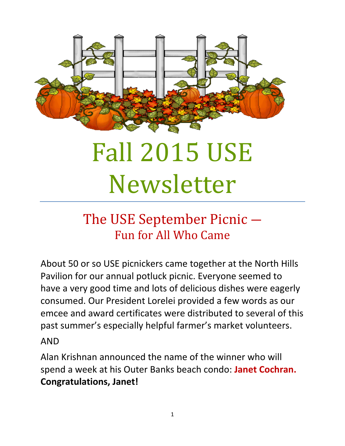

# Fall 2015 USE Newsletter

# The USE September Picnic ― Fun for All Who Came

About 50 or so USE picnickers came together at the North Hills Pavilion for our annual potluck picnic. Everyone seemed to have a very good time and lots of delicious dishes were eagerly consumed. Our President Lorelei provided a few words as our emcee and award certificates were distributed to several of this past summer's especially helpful farmer's market volunteers.

#### AND

Alan Krishnan announced the name of the winner who will spend a week at his Outer Banks beach condo: **Janet Cochran. Congratulations, Janet!**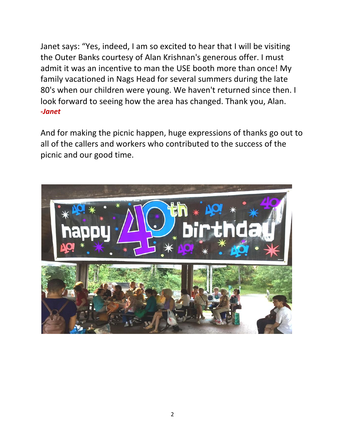Janet says: "Yes, indeed, I am so excited to hear that I will be visiting the Outer Banks courtesy of Alan Krishnan's generous offer. I must admit it was an incentive to man the USE booth more than once! My family vacationed in Nags Head for several summers during the late 80's when our children were young. We haven't returned since then. I look forward to seeing how the area has changed. Thank you, Alan. *-Janet*

And for making the picnic happen, huge expressions of thanks go out to all of the callers and workers who contributed to the success of the picnic and our good time.

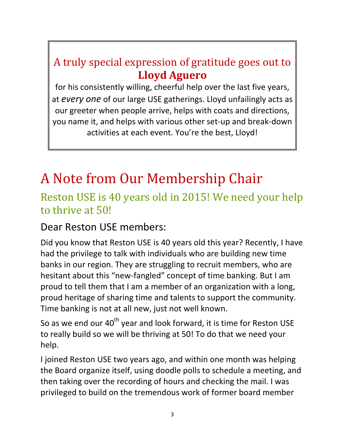### A truly special expression of gratitude goes out to **Lloyd Aguero**

for his consistently willing, cheerful help over the last five years, at *every one* of our large USE gatherings. Lloyd unfailingly acts as our greeter when people arrive, helps with coats and directions, you name it, and helps with various other set-up and break-down activities at each event. You're the best, Lloyd!

# A Note from Our Membership Chair

### Reston USE is 40 years old in 2015! We need your help to thrive at 50!

Dear Reston USE members:

Did you know that Reston USE is 40 years old this year? Recently, I have had the privilege to talk with individuals who are building new time banks in our region. They are struggling to recruit members, who are hesitant about this "new-fangled" concept of time banking. But I am proud to tell them that I am a member of an organization with a long, proud heritage of sharing time and talents to support the community. Time banking is not at all new, just not well known.

So as we end our  $40<sup>th</sup>$  year and look forward, it is time for Reston USE to really build so we will be thriving at 50! To do that we need your help.

I joined Reston USE two years ago, and within one month was helping the Board organize itself, using doodle polls to schedule a meeting, and then taking over the recording of hours and checking the mail. I was privileged to build on the tremendous work of former board member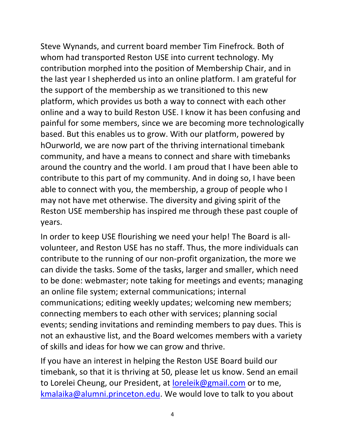Steve Wynands, and current board member Tim Finefrock. Both of whom had transported Reston USE into current technology. My contribution morphed into the position of Membership Chair, and in the last year I shepherded us into an online platform. I am grateful for the support of the membership as we transitioned to this new platform, which provides us both a way to connect with each other online and a way to build Reston USE. I know it has been confusing and painful for some members, since we are becoming more technologically based. But this enables us to grow. With our platform, powered by hOurworld, we are now part of the thriving international timebank community, and have a means to connect and share with timebanks around the country and the world. I am proud that I have been able to contribute to this part of my community. And in doing so, I have been able to connect with you, the membership, a group of people who I may not have met otherwise. The diversity and giving spirit of the Reston USE membership has inspired me through these past couple of years.

In order to keep USE flourishing we need your help! The Board is allvolunteer, and Reston USE has no staff. Thus, the more individuals can contribute to the running of our non-profit organization, the more we can divide the tasks. Some of the tasks, larger and smaller, which need to be done: webmaster; note taking for meetings and events; managing an online file system; external communications; internal communications; editing weekly updates; welcoming new members; connecting members to each other with services; planning social events; sending invitations and reminding members to pay dues. This is not an exhaustive list, and the Board welcomes members with a variety of skills and ideas for how we can grow and thrive.

If you have an interest in helping the Reston USE Board build our timebank, so that it is thriving at 50, please let us know. Send an email to Lorelei Cheung, our President, at [loreleik@gmail.com](mailto:loreleik@gmail.com) or to me, [kmalaika@alumni.princeton.edu.](mailto:kmalaika@alumni.princeton.edu) We would love to talk to you about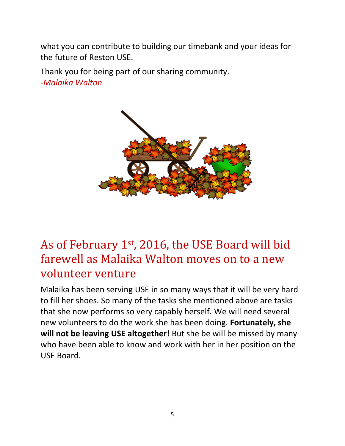what you can contribute to building our timebank and your ideas for the future of Reston USE.

Thank you for being part of our sharing community. *-Malaika Walton*



### As of February 1st, 2016, the USE Board will bid farewell as Malaika Walton moves on to a new volunteer venture

Malaika has been serving USE in so many ways that it will be very hard to fill her shoes. So many of the tasks she mentioned above are tasks that she now performs so very capably herself. We will need several new volunteers to do the work she has been doing. **Fortunately, she will not be leaving USE altogether!** But she be will be missed by many who have been able to know and work with her in her position on the USE Board.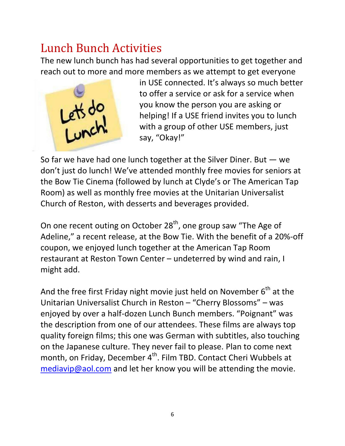### Lunch Bunch Activities

The new lunch bunch has had several opportunities to get together and reach out to more and more members as we attempt to get everyone



in USE connected. It's always so much better to offer a service or ask for a service when you know the person you are asking or helping! If a USE friend invites you to lunch with a group of other USE members, just say, "Okay!"

So far we have had one lunch together at the Silver Diner. But ― we don't just do lunch! We've attended monthly free movies for seniors at the Bow Tie Cinema (followed by lunch at Clyde's or The American Tap Room) as well as monthly free movies at the Unitarian Universalist Church of Reston, with desserts and beverages provided.

On one recent outing on October 28<sup>th</sup>, one group saw "The Age of Adeline," a recent release, at the Bow Tie. With the benefit of a 20%-off coupon, we enjoyed lunch together at the American Tap Room restaurant at Reston Town Center – undeterred by wind and rain, I might add.

And the free first Friday night movie just held on November  $6<sup>th</sup>$  at the Unitarian Universalist Church in Reston – "Cherry Blossoms" – was enjoyed by over a half-dozen Lunch Bunch members. "Poignant" was the description from one of our attendees. These films are always top quality foreign films; this one was German with subtitles, also touching on the Japanese culture. They never fail to please. Plan to come next month, on Friday, December 4<sup>th</sup>. Film TBD. Contact Cheri Wubbels at [mediavip@aol.com](mailto:mediavip@aol.com) and let her know you will be attending the movie.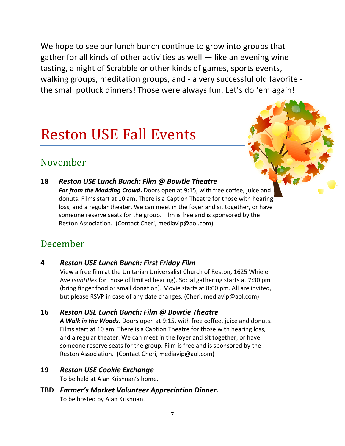We hope to see our lunch bunch continue to grow into groups that gather for all kinds of other activities as well ― like an evening wine tasting, a night of Scrabble or other kinds of games, sports events, walking groups, meditation groups, and - a very successful old favorite the small potluck dinners! Those were always fun. Let's do 'em again!

# Reston USE Fall Events

#### November

**18** *Reston USE Lunch Bunch: Film @ Bowtie Theatre Far from the Madding Crowd***.** Doors open at 9:15, with free coffee, juice and donuts. Films start at 10 am. There is a Caption Theatre for those with hearing loss, and a regular theater. We can meet in the foyer and sit together, or have someone reserve seats for the group. Film is free and is sponsored by the Reston Association. (Contact Cheri[, mediavip@aol.com\)](mailto:mediavip@aol.com)

# December

#### **4** *Reston USE Lunch Bunch: First Friday Film*

View a free film at the Unitarian Universalist Church of Reston, 1625 Whiele Ave (*subtitles* for those of limited hearing). Social gathering starts at 7:30 pm (bring finger food or small donation). Movie starts at 8:00 pm. All are invited, but please RSVP in case of any date changes. (Cheri, [mediavip@aol.com\)](mailto:mediavip@aol.com)

#### **16** *Reston USE Lunch Bunch: Film @ Bowtie Theatre*

*A Walk in the Woods***.** Doors open at 9:15, with free coffee, juice and donuts. Films start at 10 am. There is a Caption Theatre for those with hearing loss, and a regular theater. We can meet in the foyer and sit together, or have someone reserve seats for the group. Film is free and is sponsored by the Reston Association. (Contact Cheri[, mediavip@aol.com\)](mailto:mediavip@aol.com)

#### **19** *Reston USE Cookie Exchange*

To be held at Alan Krishnan's home.

**TBD** *Farmer's Market Volunteer Appreciation Dinner.*  To be hosted by Alan Krishnan.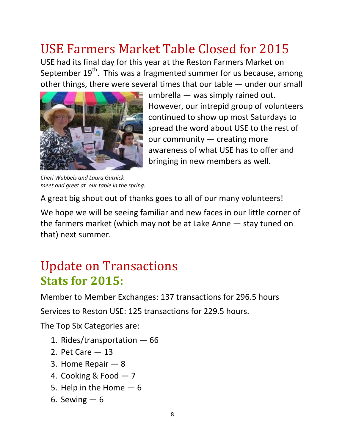# USE Farmers Market Table Closed for 2015

USE had its final day for this year at the Reston Farmers Market on September 19<sup>th</sup>. This was a fragmented summer for us because, among other things, there were several times that our table ― under our small



*Cheri Wubbels and Laura Gutnick meet and greet at our table in the spring.*

umbrella ― was simply rained out. However, our intrepid group of volunteers continued to show up most Saturdays to spread the word about USE to the rest of our community ― creating more awareness of what USE has to offer and bringing in new members as well.

A great big shout out of thanks goes to all of our many volunteers!

We hope we will be seeing familiar and new faces in our little corner of the farmers market (which may not be at Lake Anne ― stay tuned on that) next summer.

### Update on Transactions **Stats for 2015:**

Member to Member Exchanges: 137 transactions for 296.5 hours

Services to Reston USE: 125 transactions for 229.5 hours.

The Top Six Categories are:

- 1. Rides/transportation ― 66
- 2. Pet Care ― 13
- 3. Home Repair ― 8
- 4. Cooking & Food ― 7
- 5. Help in the Home  $-6$
- 6. Sewing  $-6$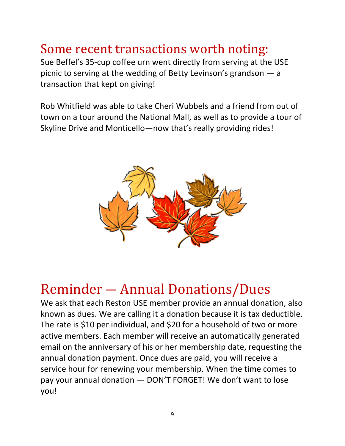# Some recent transactions worth noting:

Sue Beffel's 35-cup coffee urn went directly from serving at the USE picnic to serving at the wedding of Betty Levinson's grandson ― a transaction that kept on giving!

Rob Whitfield was able to take Cheri Wubbels and a friend from out of town on a tour around the National Mall, as well as to provide a tour of Skyline Drive and Monticello―now that's really providing rides!



# Reminder ― Annual Donations/Dues

We ask that each Reston USE member provide an annual donation, also known as dues. We are calling it a donation because it is tax deductible. The rate is \$10 per individual, and \$20 for a household of two or more active members. Each member will receive an automatically generated email on the anniversary of his or her membership date, requesting the annual donation payment. Once dues are paid, you will receive a service hour for renewing your membership. When the time comes to pay your annual donation ― DON'T FORGET! We don't want to lose you!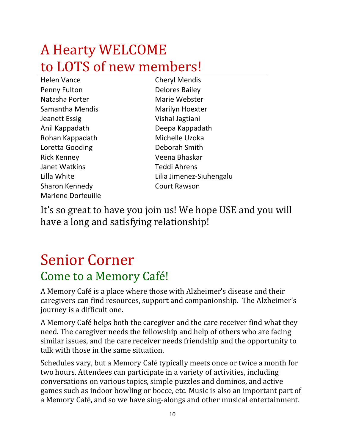# A Hearty WELCOME to LOTS of new members!

Cheryl Mendis **Delores Bailey** Marie Webster Marilyn Hoexter Vishal Jagtiani Deepa Kappadath Michelle Uzoka Deborah Smith Veena Bhaskar Teddi Ahrens Lilia Jimenez-Siuhengalu Court Rawson

It's so great to have you join us! We hope USE and you will have a long and satisfying relationship!

# Senior Corner Come to a Memory Café!

A Memory Café is a place where those with Alzheimer's disease and their caregivers can find resources, support and companionship. The Alzheimer's journey is a difficult one.

A Memory Café helps both the caregiver and the care receiver find what they need. The caregiver needs the fellowship and help of others who are facing similar issues, and the care receiver needs friendship and the opportunity to talk with those in the same situation.

Schedules vary, but a Memory Café typically meets once or twice a month for two hours. Attendees can participate in a variety of activities, including conversations on various topics, simple puzzles and dominos, and active games such as indoor bowling or bocce, etc. Music is also an important part of a Memory Café, and so we have sing-alongs and other musical entertainment.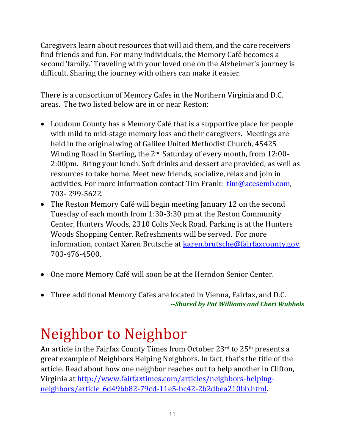Caregivers learn about resources that will aid them, and the care receivers find friends and fun. For many individuals, the Memory Café becomes a second 'family.' Traveling with your loved one on the Alzheimer's journey is difficult. Sharing the journey with others can make it easier.

There is a consortium of Memory Cafes in the Northern Virginia and D.C. areas. The two listed below are in or near Reston:

- Loudoun County has a Memory Café that is a supportive place for people with mild to mid-stage memory loss and their caregivers. Meetings are held in the original wing of Galilee United Methodist Church, 45425 Winding Road in Sterling, the 2nd Saturday of every month, from 12:00- 2:00pm. Bring your lunch. Soft drinks and dessert are provided, as well as resources to take home. Meet new friends, socialize, relax and join in activities. For more information contact Tim Frank: [tim@acesemb.com,](mailto:tim@acesemb.com) 703- 299-5622.
- The Reston Memory Café will begin meeting January 12 on the second Tuesday of each month from 1:30-3:30 pm at the Reston Community Center, Hunters Woods, 2310 Colts Neck Road. Parking is at the Hunters Woods Shopping Center. Refreshments will be served. For more information, contact Karen Brutsche at [karen.brutsche@fairfaxcounty.gov,](mailto:karen.brutsche@fairfaxcounty.gov) 703-476-4500.
- One more Memory Café will soon be at the Herndon Senior Center.
- Three additional Memory Cafes are located in Vienna, Fairfax, and D.C. *--Shared by Pat Williams and Cheri Wubbels*

# Neighbor to Neighbor

An article in the Fairfax County Times from October 23<sup>rd</sup> to 25<sup>th</sup> presents a great example of Neighbors Helping Neighbors. In fact, that's the title of the article. Read about how one neighbor reaches out to help another in Clifton, Virginia at [http://www.fairfaxtimes.com/articles/neighbors-helping](http://www.fairfaxtimes.com/articles/neighbors-helping-neighbors/article_6d49bb82-79cd-11e5-bc42-2b2dbea210bb.html)[neighbors/article\\_6d49bb82-79cd-11e5-bc42-2b2dbea210bb.html.](http://www.fairfaxtimes.com/articles/neighbors-helping-neighbors/article_6d49bb82-79cd-11e5-bc42-2b2dbea210bb.html)